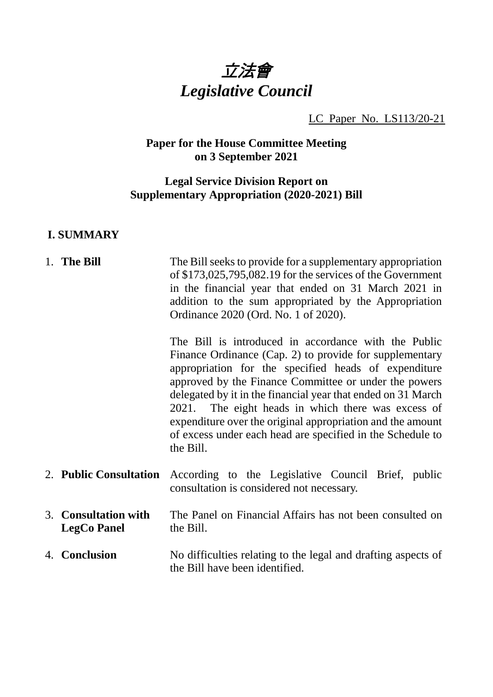

LC Paper No. LS113/20-21

# **Paper for the House Committee Meeting on 3 September 2021**

# **Legal Service Division Report on Supplementary Appropriation (2020-2021) Bill**

#### **I. SUMMARY**

| 1. The Bill                                | The Bill seeks to provide for a supplementary appropriation<br>of $$173,025,795,082.19$ for the services of the Government<br>in the financial year that ended on 31 March 2021 in<br>addition to the sum appropriated by the Appropriation<br>Ordinance 2020 (Ord. No. 1 of 2020).                                                                                                                                                                                                             |
|--------------------------------------------|-------------------------------------------------------------------------------------------------------------------------------------------------------------------------------------------------------------------------------------------------------------------------------------------------------------------------------------------------------------------------------------------------------------------------------------------------------------------------------------------------|
|                                            | The Bill is introduced in accordance with the Public<br>Finance Ordinance (Cap. 2) to provide for supplementary<br>appropriation for the specified heads of expenditure<br>approved by the Finance Committee or under the powers<br>delegated by it in the financial year that ended on 31 March<br>2021. The eight heads in which there was excess of<br>expenditure over the original appropriation and the amount<br>of excess under each head are specified in the Schedule to<br>the Bill. |
| 2. Public Consultation                     | According to the Legislative Council Brief, public<br>consultation is considered not necessary.                                                                                                                                                                                                                                                                                                                                                                                                 |
| 3. Consultation with<br><b>LegCo Panel</b> | The Panel on Financial Affairs has not been consulted on<br>the Bill.                                                                                                                                                                                                                                                                                                                                                                                                                           |
| 4. Conclusion                              | No difficulties relating to the legal and drafting aspects of<br>the Bill have been identified.                                                                                                                                                                                                                                                                                                                                                                                                 |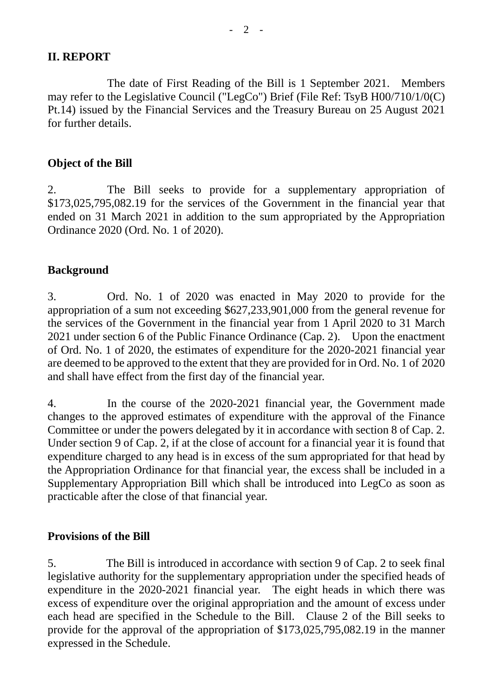# **II. REPORT**

The date of First Reading of the Bill is 1 September 2021. Members may refer to the Legislative Council ("LegCo") Brief (File Ref: TsyB H00/710/1/0(C) Pt.14) issued by the Financial Services and the Treasury Bureau on 25 August 2021 for further details.

# **Object of the Bill**

2. The Bill seeks to provide for a supplementary appropriation of \$173,025,795,082.19 for the services of the Government in the financial year that ended on 31 March 2021 in addition to the sum appropriated by the Appropriation Ordinance 2020 (Ord. No. 1 of 2020).

# **Background**

3. Ord. No. 1 of 2020 was enacted in May 2020 to provide for the appropriation of a sum not exceeding \$627,233,901,000 from the general revenue for the services of the Government in the financial year from 1 April 2020 to 31 March 2021 under section 6 of the Public Finance Ordinance (Cap. 2). Upon the enactment of Ord. No. 1 of 2020, the estimates of expenditure for the 2020-2021 financial year are deemed to be approved to the extent that they are provided for in Ord. No. 1 of 2020 and shall have effect from the first day of the financial year.

4. In the course of the 2020-2021 financial year, the Government made changes to the approved estimates of expenditure with the approval of the Finance Committee or under the powers delegated by it in accordance with section 8 of Cap. 2. Under section 9 of Cap. 2, if at the close of account for a financial year it is found that expenditure charged to any head is in excess of the sum appropriated for that head by the Appropriation Ordinance for that financial year, the excess shall be included in a Supplementary Appropriation Bill which shall be introduced into LegCo as soon as practicable after the close of that financial year.

#### **Provisions of the Bill**

5. The Bill is introduced in accordance with section 9 of Cap. 2 to seek final legislative authority for the supplementary appropriation under the specified heads of expenditure in the 2020-2021 financial year. The eight heads in which there was excess of expenditure over the original appropriation and the amount of excess under each head are specified in the Schedule to the Bill. Clause 2 of the Bill seeks to provide for the approval of the appropriation of \$173,025,795,082.19 in the manner expressed in the Schedule.